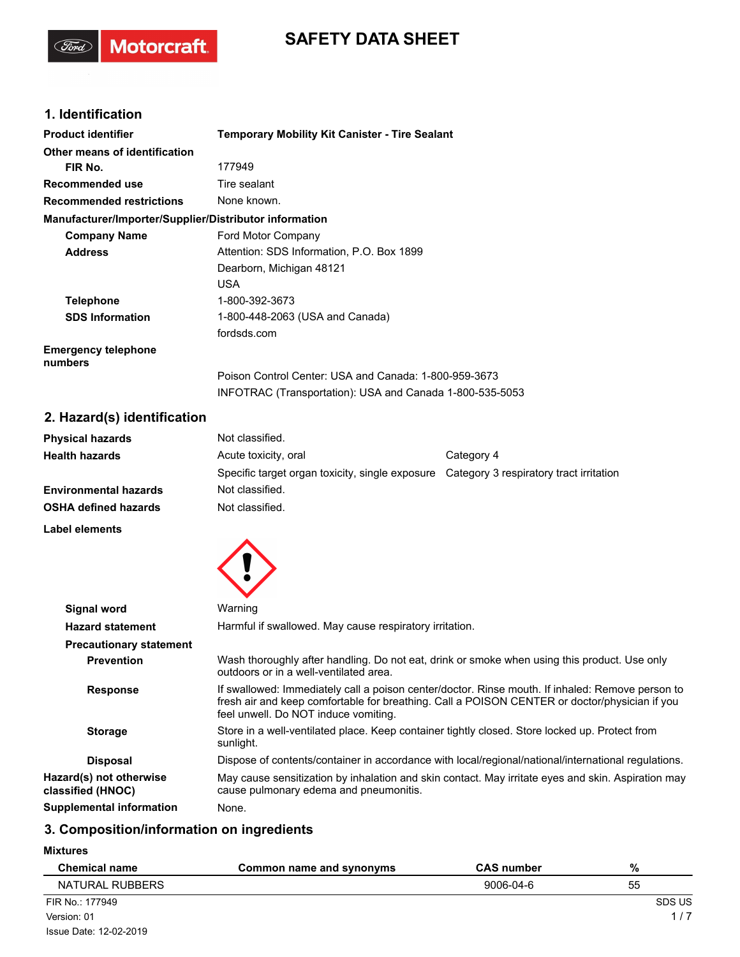# **SAFETY DATA SHEET**

### **1. Identification**

(Ford)

Motorcraft.

| <b>Product identifier</b>                              | <b>Temporary Mobility Kit Canister - Tire Sealant</b>    |  |
|--------------------------------------------------------|----------------------------------------------------------|--|
| Other means of identification                          |                                                          |  |
| FIR No.                                                | 177949                                                   |  |
| Recommended use                                        | Tire sealant                                             |  |
| <b>Recommended restrictions</b>                        | None known.                                              |  |
| Manufacturer/Importer/Supplier/Distributor information |                                                          |  |
| <b>Company Name</b>                                    | Ford Motor Company                                       |  |
| <b>Address</b>                                         | Attention: SDS Information, P.O. Box 1899                |  |
|                                                        | Dearborn, Michigan 48121                                 |  |
|                                                        | <b>USA</b>                                               |  |
| <b>Telephone</b>                                       | 1-800-392-3673                                           |  |
| <b>SDS Information</b>                                 | 1-800-448-2063 (USA and Canada)                          |  |
|                                                        | fordsds.com                                              |  |
| <b>Emergency telephone</b><br>numbers                  |                                                          |  |
|                                                        | Poison Control Center: USA and Canada: 1-800-959-3673    |  |
|                                                        | INFOTRAC (Transportation): USA and Canada 1-800-535-5053 |  |

## **2. Hazard(s) identification**

| <b>Physical hazards</b> | Not classified.                                 |                                         |
|-------------------------|-------------------------------------------------|-----------------------------------------|
| Health hazards          | Acute toxicity, oral                            | Category 4                              |
|                         | Specific target organ toxicity, single exposure | Category 3 respiratory tract irritation |
| Environmental hazards   | Not classified.                                 |                                         |
| OSHA defined hazards    | Not classified.                                 |                                         |
|                         |                                                 |                                         |

**Label elements**



| Signal word                                  | Warning                                                                                                                                                                                                                                   |
|----------------------------------------------|-------------------------------------------------------------------------------------------------------------------------------------------------------------------------------------------------------------------------------------------|
| <b>Hazard statement</b>                      | Harmful if swallowed. May cause respiratory irritation.                                                                                                                                                                                   |
| <b>Precautionary statement</b>               |                                                                                                                                                                                                                                           |
| <b>Prevention</b>                            | Wash thoroughly after handling. Do not eat, drink or smoke when using this product. Use only<br>outdoors or in a well-ventilated area.                                                                                                    |
| <b>Response</b>                              | If swallowed: Immediately call a poison center/doctor. Rinse mouth. If inhaled: Remove person to<br>fresh air and keep comfortable for breathing. Call a POISON CENTER or doctor/physician if you<br>feel unwell. Do NOT induce vomiting. |
| <b>Storage</b>                               | Store in a well-ventilated place. Keep container tightly closed. Store locked up. Protect from<br>sunlight.                                                                                                                               |
| <b>Disposal</b>                              | Dispose of contents/container in accordance with local/regional/national/international regulations.                                                                                                                                       |
| Hazard(s) not otherwise<br>classified (HNOC) | May cause sensitization by inhalation and skin contact. May irritate eyes and skin. Aspiration may<br>cause pulmonary edema and pneumonitis.                                                                                              |
| <b>Supplemental information</b>              | None.                                                                                                                                                                                                                                     |
|                                              |                                                                                                                                                                                                                                           |

### **3. Composition/information on ingredients**

**Mixtures**

| <b>Chemical name</b>   | Common name and synonyms | <b>CAS number</b> | %      |
|------------------------|--------------------------|-------------------|--------|
| NATURAL RUBBERS        |                          | 9006-04-6         | 55     |
| FIR No.: 177949        |                          |                   | SDS US |
| Version: 01            |                          |                   | 1/7    |
| Issue Date: 12-02-2019 |                          |                   |        |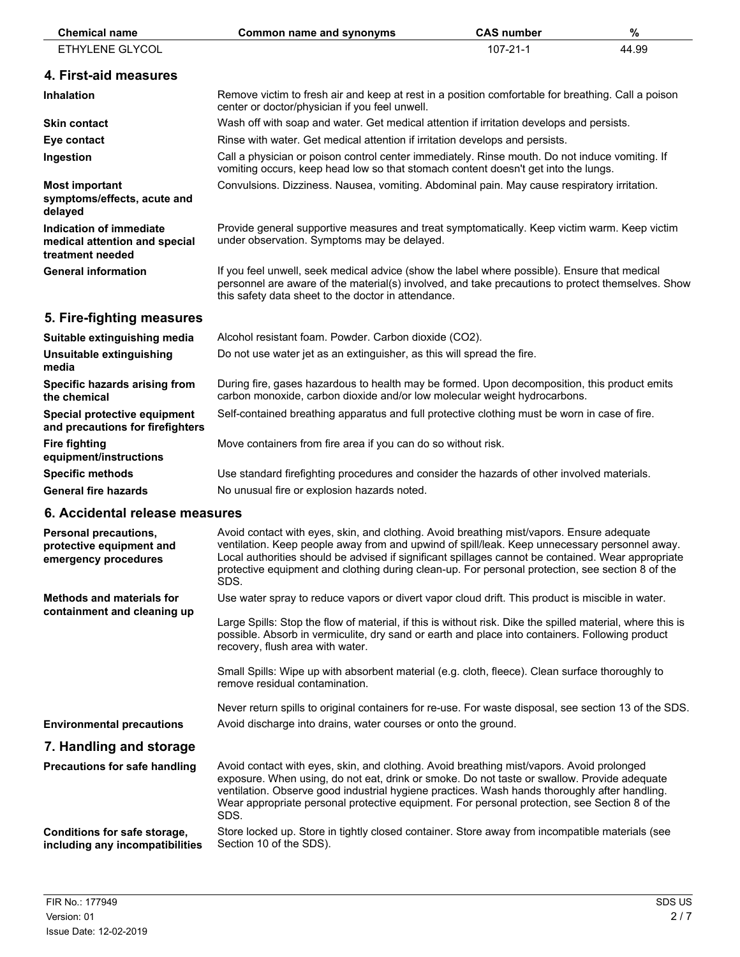| <b>Chemical name</b>                                                         | <b>Common name and synonyms</b>                                                                                                                                                                                                                                                                                                                                                                              | <b>CAS number</b> | $\%$  |
|------------------------------------------------------------------------------|--------------------------------------------------------------------------------------------------------------------------------------------------------------------------------------------------------------------------------------------------------------------------------------------------------------------------------------------------------------------------------------------------------------|-------------------|-------|
| ETHYLENE GLYCOL                                                              |                                                                                                                                                                                                                                                                                                                                                                                                              | $107 - 21 - 1$    | 44.99 |
| 4. First-aid measures                                                        |                                                                                                                                                                                                                                                                                                                                                                                                              |                   |       |
| Inhalation                                                                   | Remove victim to fresh air and keep at rest in a position comfortable for breathing. Call a poison<br>center or doctor/physician if you feel unwell.                                                                                                                                                                                                                                                         |                   |       |
| <b>Skin contact</b>                                                          | Wash off with soap and water. Get medical attention if irritation develops and persists.                                                                                                                                                                                                                                                                                                                     |                   |       |
| Eye contact                                                                  | Rinse with water. Get medical attention if irritation develops and persists.                                                                                                                                                                                                                                                                                                                                 |                   |       |
| Ingestion                                                                    | Call a physician or poison control center immediately. Rinse mouth. Do not induce vomiting. If<br>vomiting occurs, keep head low so that stomach content doesn't get into the lungs.                                                                                                                                                                                                                         |                   |       |
| <b>Most important</b><br>symptoms/effects, acute and<br>delayed              | Convulsions. Dizziness. Nausea, vomiting. Abdominal pain. May cause respiratory irritation.                                                                                                                                                                                                                                                                                                                  |                   |       |
| Indication of immediate<br>medical attention and special<br>treatment needed | Provide general supportive measures and treat symptomatically. Keep victim warm. Keep victim<br>under observation. Symptoms may be delayed.                                                                                                                                                                                                                                                                  |                   |       |
| <b>General information</b>                                                   | If you feel unwell, seek medical advice (show the label where possible). Ensure that medical<br>personnel are aware of the material(s) involved, and take precautions to protect themselves. Show<br>this safety data sheet to the doctor in attendance.                                                                                                                                                     |                   |       |
| 5. Fire-fighting measures                                                    |                                                                                                                                                                                                                                                                                                                                                                                                              |                   |       |
| Suitable extinguishing media                                                 | Alcohol resistant foam. Powder. Carbon dioxide (CO2).                                                                                                                                                                                                                                                                                                                                                        |                   |       |
| Unsuitable extinguishing<br>media                                            | Do not use water jet as an extinguisher, as this will spread the fire.                                                                                                                                                                                                                                                                                                                                       |                   |       |
| Specific hazards arising from<br>the chemical                                | During fire, gases hazardous to health may be formed. Upon decomposition, this product emits<br>carbon monoxide, carbon dioxide and/or low molecular weight hydrocarbons.                                                                                                                                                                                                                                    |                   |       |
| Special protective equipment<br>and precautions for firefighters             | Self-contained breathing apparatus and full protective clothing must be worn in case of fire.                                                                                                                                                                                                                                                                                                                |                   |       |
| <b>Fire fighting</b><br>equipment/instructions                               | Move containers from fire area if you can do so without risk.                                                                                                                                                                                                                                                                                                                                                |                   |       |
| <b>Specific methods</b>                                                      | Use standard firefighting procedures and consider the hazards of other involved materials.                                                                                                                                                                                                                                                                                                                   |                   |       |
| <b>General fire hazards</b>                                                  | No unusual fire or explosion hazards noted.                                                                                                                                                                                                                                                                                                                                                                  |                   |       |
| 6. Accidental release measures                                               |                                                                                                                                                                                                                                                                                                                                                                                                              |                   |       |
| Personal precautions,<br>protective equipment and<br>emergency procedures    | Avoid contact with eyes, skin, and clothing. Avoid breathing mist/vapors. Ensure adequate<br>ventilation. Keep people away from and upwind of spill/leak. Keep unnecessary personnel away.<br>Local authorities should be advised if significant spillages cannot be contained. Wear appropriate<br>protective equipment and clothing during clean-up. For personal protection, see section 8 of the<br>SDS. |                   |       |
| <b>Methods and materials for</b><br>containment and cleaning up              | Use water spray to reduce vapors or divert vapor cloud drift. This product is miscible in water.                                                                                                                                                                                                                                                                                                             |                   |       |
|                                                                              | Large Spills: Stop the flow of material, if this is without risk. Dike the spilled material, where this is<br>possible. Absorb in vermiculite, dry sand or earth and place into containers. Following product<br>recovery, flush area with water.                                                                                                                                                            |                   |       |
|                                                                              | Small Spills: Wipe up with absorbent material (e.g. cloth, fleece). Clean surface thoroughly to<br>remove residual contamination.                                                                                                                                                                                                                                                                            |                   |       |
|                                                                              | Never return spills to original containers for re-use. For waste disposal, see section 13 of the SDS.                                                                                                                                                                                                                                                                                                        |                   |       |
| <b>Environmental precautions</b>                                             | Avoid discharge into drains, water courses or onto the ground.                                                                                                                                                                                                                                                                                                                                               |                   |       |
| 7. Handling and storage                                                      |                                                                                                                                                                                                                                                                                                                                                                                                              |                   |       |
| <b>Precautions for safe handling</b>                                         | Avoid contact with eyes, skin, and clothing. Avoid breathing mist/vapors. Avoid prolonged<br>exposure. When using, do not eat, drink or smoke. Do not taste or swallow. Provide adequate<br>ventilation. Observe good industrial hygiene practices. Wash hands thoroughly after handling.<br>Wear appropriate personal protective equipment. For personal protection, see Section 8 of the<br>SDS.           |                   |       |
| Conditions for safe storage,<br>including any incompatibilities              | Store locked up. Store in tightly closed container. Store away from incompatible materials (see<br>Section 10 of the SDS).                                                                                                                                                                                                                                                                                   |                   |       |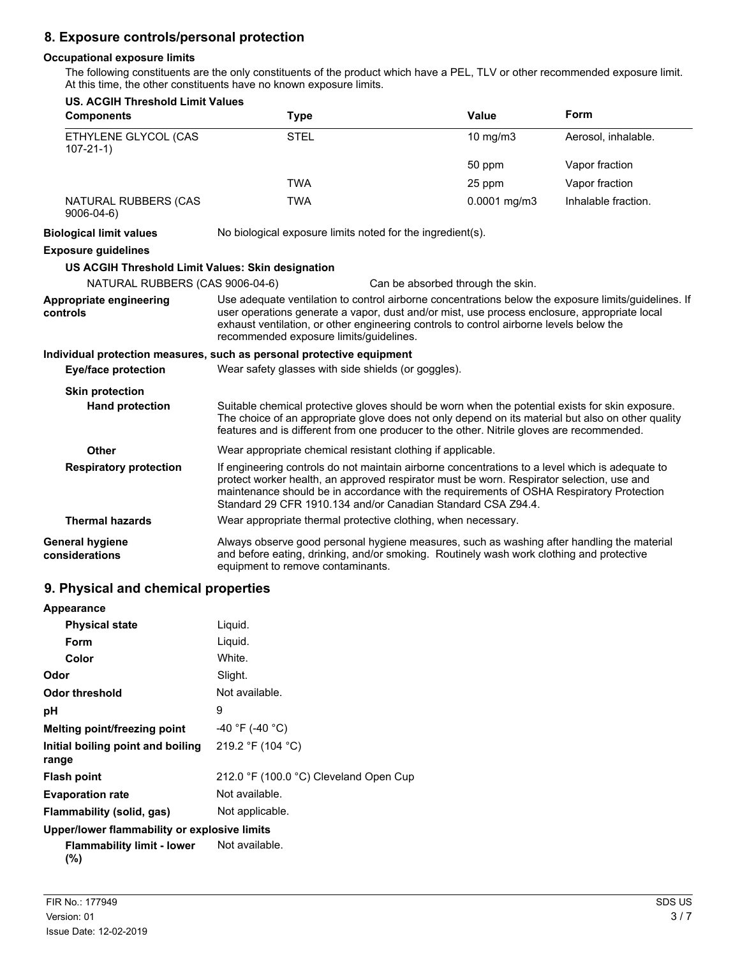### **8. Exposure controls/personal protection**

#### **Occupational exposure limits**

The following constituents are the only constituents of the product which have a PEL, TLV or other recommended exposure limit. At this time, the other constituents have no known exposure limits.

| <b>US. ACGIH Threshold Limit Values</b><br><b>Components</b> | <b>Type</b>                                                                                                                                                                                                                                                                                                                                              | <b>Value</b>                      | Form                |
|--------------------------------------------------------------|----------------------------------------------------------------------------------------------------------------------------------------------------------------------------------------------------------------------------------------------------------------------------------------------------------------------------------------------------------|-----------------------------------|---------------------|
|                                                              |                                                                                                                                                                                                                                                                                                                                                          |                                   |                     |
| ETHYLENE GLYCOL (CAS<br>$107 - 21 - 1$                       | <b>STEL</b>                                                                                                                                                                                                                                                                                                                                              | 10 mg/m3                          | Aerosol, inhalable. |
|                                                              |                                                                                                                                                                                                                                                                                                                                                          | 50 ppm                            | Vapor fraction      |
|                                                              | <b>TWA</b>                                                                                                                                                                                                                                                                                                                                               | 25 ppm                            | Vapor fraction      |
| NATURAL RUBBERS (CAS<br>$9006 - 04 - 6$                      | <b>TWA</b>                                                                                                                                                                                                                                                                                                                                               | 0.0001 mg/m3                      | Inhalable fraction. |
| <b>Biological limit values</b>                               | No biological exposure limits noted for the ingredient(s).                                                                                                                                                                                                                                                                                               |                                   |                     |
| <b>Exposure guidelines</b>                                   |                                                                                                                                                                                                                                                                                                                                                          |                                   |                     |
| US ACGIH Threshold Limit Values: Skin designation            |                                                                                                                                                                                                                                                                                                                                                          |                                   |                     |
| NATURAL RUBBERS (CAS 9006-04-6)                              |                                                                                                                                                                                                                                                                                                                                                          | Can be absorbed through the skin. |                     |
| Appropriate engineering<br>controls                          | Use adequate ventilation to control airborne concentrations below the exposure limits/guidelines. If<br>user operations generate a vapor, dust and/or mist, use process enclosure, appropriate local<br>exhaust ventilation, or other engineering controls to control airborne levels below the<br>recommended exposure limits/guidelines.               |                                   |                     |
|                                                              | Individual protection measures, such as personal protective equipment                                                                                                                                                                                                                                                                                    |                                   |                     |
| <b>Eye/face protection</b>                                   | Wear safety glasses with side shields (or goggles).                                                                                                                                                                                                                                                                                                      |                                   |                     |
| <b>Skin protection</b>                                       |                                                                                                                                                                                                                                                                                                                                                          |                                   |                     |
| <b>Hand protection</b>                                       | Suitable chemical protective gloves should be worn when the potential exists for skin exposure.<br>The choice of an appropriate glove does not only depend on its material but also on other quality<br>features and is different from one producer to the other. Nitrile gloves are recommended.                                                        |                                   |                     |
| <b>Other</b>                                                 | Wear appropriate chemical resistant clothing if applicable.                                                                                                                                                                                                                                                                                              |                                   |                     |
| <b>Respiratory protection</b>                                | If engineering controls do not maintain airborne concentrations to a level which is adequate to<br>protect worker health, an approved respirator must be worn. Respirator selection, use and<br>maintenance should be in accordance with the requirements of OSHA Respiratory Protection<br>Standard 29 CFR 1910.134 and/or Canadian Standard CSA Z94.4. |                                   |                     |
| <b>Thermal hazards</b>                                       | Wear appropriate thermal protective clothing, when necessary.                                                                                                                                                                                                                                                                                            |                                   |                     |
| <b>General hygiene</b><br>considerations                     | Always observe good personal hygiene measures, such as washing after handling the material<br>and before eating, drinking, and/or smoking. Routinely wash work clothing and protective<br>equipment to remove contaminants.                                                                                                                              |                                   |                     |

### **9. Physical and chemical properties**

| Appearance                                   |                                        |
|----------------------------------------------|----------------------------------------|
| <b>Physical state</b>                        | Liguid.                                |
| Form                                         | Liguid.                                |
| Color                                        | White.                                 |
| Odor                                         | Slight.                                |
| Odor threshold                               | Not available.                         |
| рH                                           | 9                                      |
| Melting point/freezing point                 | $-40$ °F (-40 °C)                      |
| Initial boiling point and boiling<br>range   | 219.2 °F (104 °C)                      |
| <b>Flash point</b>                           | 212.0 °F (100.0 °C) Cleveland Open Cup |
| <b>Evaporation rate</b>                      | Not available.                         |
| Flammability (solid, gas)                    | Not applicable.                        |
| Upper/lower flammability or explosive limits |                                        |

```
Flammability limit - lower
(%)
                               Not available.
```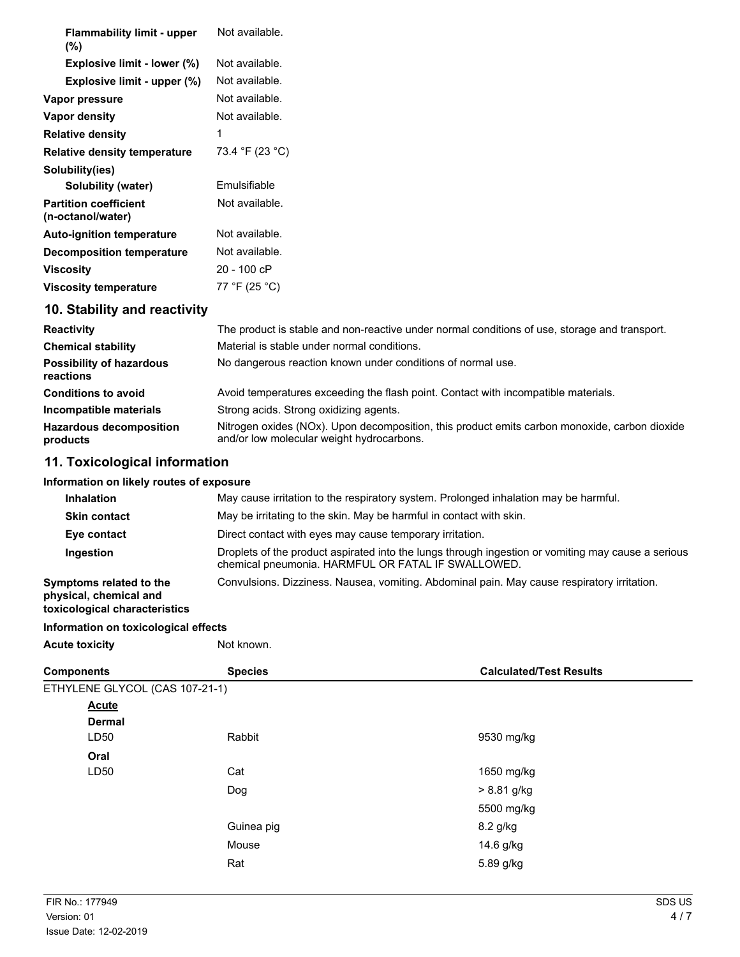| <b>Flammability limit - upper</b><br>$(\%)$       | Not available.  |
|---------------------------------------------------|-----------------|
| Explosive limit - lower (%)                       | Not available.  |
| Explosive limit - upper (%)                       | Not available.  |
| Vapor pressure                                    | Not available.  |
| Vapor density                                     | Not available.  |
| <b>Relative density</b>                           | 1               |
| <b>Relative density temperature</b>               | 73.4 °F (23 °C) |
| Solubility(ies)                                   |                 |
| Solubility (water)                                | Emulsifiable    |
| <b>Partition coefficient</b><br>(n-octanol/water) | Not available.  |
| <b>Auto-ignition temperature</b>                  | Not available.  |
| <b>Decomposition temperature</b>                  | Not available.  |
| <b>Viscosity</b>                                  | 20 - 100 cP     |
| <b>Viscosity temperature</b>                      | 77 °F (25 °C)   |
| 10. Stability and reactivity                      |                 |

| <b>Reactivity</b>                            | The product is stable and non-reactive under normal conditions of use, storage and transport.                                              |  |
|----------------------------------------------|--------------------------------------------------------------------------------------------------------------------------------------------|--|
| <b>Chemical stability</b>                    | Material is stable under normal conditions.                                                                                                |  |
| <b>Possibility of hazardous</b><br>reactions | No dangerous reaction known under conditions of normal use.                                                                                |  |
| <b>Conditions to avoid</b>                   | Avoid temperatures exceeding the flash point. Contact with incompatible materials.                                                         |  |
| Incompatible materials                       | Strong acids. Strong oxidizing agents.                                                                                                     |  |
| <b>Hazardous decomposition</b><br>products   | Nitrogen oxides (NOx). Upon decomposition, this product emits carbon monoxide, carbon dioxide<br>and/or low molecular weight hydrocarbons. |  |

# **11. Toxicological information**

### **Information on likely routes of exposure**

| <b>Inhalation</b>                                                                  | May cause irritation to the respiratory system. Prolonged inhalation may be harmful.                                                                     |  |
|------------------------------------------------------------------------------------|----------------------------------------------------------------------------------------------------------------------------------------------------------|--|
| <b>Skin contact</b>                                                                | May be irritating to the skin. May be harmful in contact with skin.                                                                                      |  |
| Eye contact                                                                        | Direct contact with eyes may cause temporary irritation.                                                                                                 |  |
| Ingestion                                                                          | Droplets of the product aspirated into the lungs through ingestion or vomiting may cause a serious<br>chemical pneumonia. HARMFUL OR FATAL IF SWALLOWED. |  |
| Symptoms related to the<br>physical, chemical and<br>toxicological characteristics | Convulsions. Dizziness. Nausea, vomiting. Abdominal pain. May cause respiratory irritation.                                                              |  |

#### **Information on toxicological effects**

| Not known.            |
|-----------------------|
|                       |
| <b>Acute toxicity</b> |

| <b>Components</b>              | <b>Species</b> | <b>Calculated/Test Results</b> |
|--------------------------------|----------------|--------------------------------|
| ETHYLENE GLYCOL (CAS 107-21-1) |                |                                |
| <b>Acute</b>                   |                |                                |
| <b>Dermal</b>                  |                |                                |
| LD50                           | Rabbit         | 9530 mg/kg                     |
| Oral                           |                |                                |
| LD50                           | Cat            | 1650 mg/kg                     |
|                                | Dog            | > 8.81 g/kg                    |
|                                |                | 5500 mg/kg                     |
|                                | Guinea pig     | 8.2 g/kg                       |
|                                | Mouse          | 14.6 g/kg                      |
|                                | Rat            | 5.89 g/kg                      |
|                                |                |                                |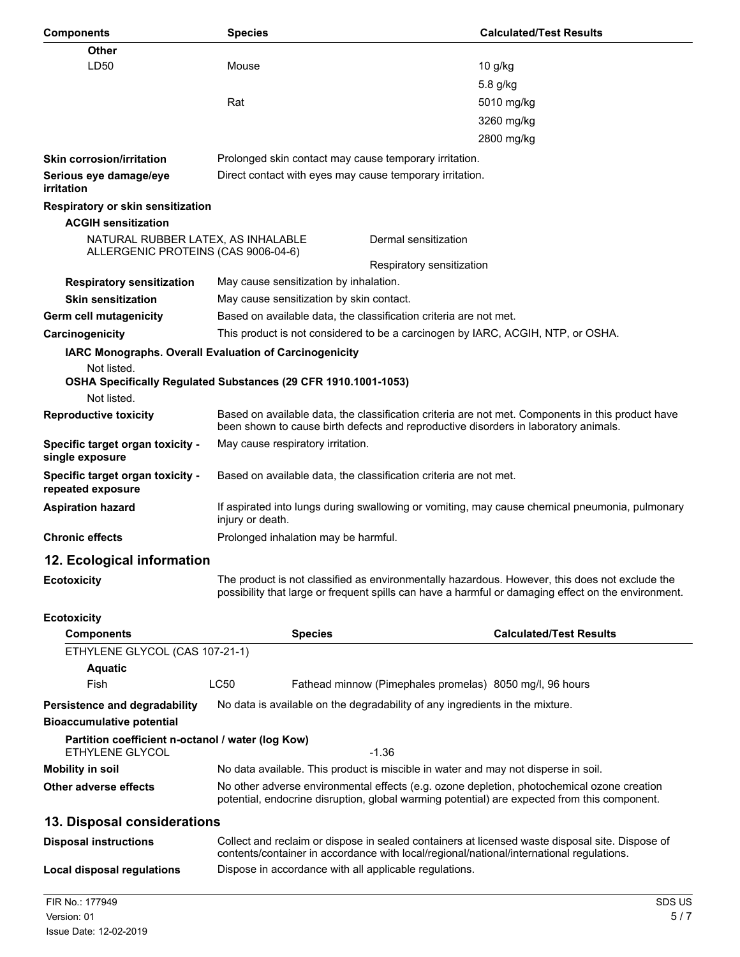| <b>Components</b>                                                         | <b>Species</b>                                                                                                                                                                             | <b>Calculated/Test Results</b>                                                                                                                                                                        |  |
|---------------------------------------------------------------------------|--------------------------------------------------------------------------------------------------------------------------------------------------------------------------------------------|-------------------------------------------------------------------------------------------------------------------------------------------------------------------------------------------------------|--|
| Other                                                                     |                                                                                                                                                                                            |                                                                                                                                                                                                       |  |
| LD50                                                                      | Mouse                                                                                                                                                                                      | 10 g/kg                                                                                                                                                                                               |  |
|                                                                           |                                                                                                                                                                                            | 5.8 g/kg                                                                                                                                                                                              |  |
|                                                                           | Rat                                                                                                                                                                                        | 5010 mg/kg                                                                                                                                                                                            |  |
|                                                                           |                                                                                                                                                                                            | 3260 mg/kg                                                                                                                                                                                            |  |
|                                                                           |                                                                                                                                                                                            | 2800 mg/kg                                                                                                                                                                                            |  |
| <b>Skin corrosion/irritation</b>                                          | Prolonged skin contact may cause temporary irritation.                                                                                                                                     |                                                                                                                                                                                                       |  |
| Serious eye damage/eye<br>irritation                                      | Direct contact with eyes may cause temporary irritation.                                                                                                                                   |                                                                                                                                                                                                       |  |
| <b>Respiratory or skin sensitization</b>                                  |                                                                                                                                                                                            |                                                                                                                                                                                                       |  |
| <b>ACGIH sensitization</b>                                                |                                                                                                                                                                                            |                                                                                                                                                                                                       |  |
| NATURAL RUBBER LATEX, AS INHALABLE<br>ALLERGENIC PROTEINS (CAS 9006-04-6) |                                                                                                                                                                                            | Dermal sensitization                                                                                                                                                                                  |  |
|                                                                           |                                                                                                                                                                                            | Respiratory sensitization                                                                                                                                                                             |  |
| <b>Respiratory sensitization</b>                                          | May cause sensitization by inhalation.                                                                                                                                                     |                                                                                                                                                                                                       |  |
| <b>Skin sensitization</b>                                                 | May cause sensitization by skin contact.                                                                                                                                                   |                                                                                                                                                                                                       |  |
| Germ cell mutagenicity                                                    | Based on available data, the classification criteria are not met.                                                                                                                          |                                                                                                                                                                                                       |  |
| Carcinogenicity                                                           | This product is not considered to be a carcinogen by IARC, ACGIH, NTP, or OSHA.                                                                                                            |                                                                                                                                                                                                       |  |
|                                                                           | IARC Monographs. Overall Evaluation of Carcinogenicity                                                                                                                                     |                                                                                                                                                                                                       |  |
| Not listed.                                                               | OSHA Specifically Regulated Substances (29 CFR 1910.1001-1053)                                                                                                                             |                                                                                                                                                                                                       |  |
| Not listed.                                                               |                                                                                                                                                                                            |                                                                                                                                                                                                       |  |
| <b>Reproductive toxicity</b>                                              | Based on available data, the classification criteria are not met. Components in this product have<br>been shown to cause birth defects and reproductive disorders in laboratory animals.   |                                                                                                                                                                                                       |  |
| Specific target organ toxicity -<br>single exposure                       | May cause respiratory irritation.                                                                                                                                                          |                                                                                                                                                                                                       |  |
| Specific target organ toxicity -<br>repeated exposure                     | Based on available data, the classification criteria are not met.                                                                                                                          |                                                                                                                                                                                                       |  |
| <b>Aspiration hazard</b>                                                  | If aspirated into lungs during swallowing or vomiting, may cause chemical pneumonia, pulmonary<br>injury or death.                                                                         |                                                                                                                                                                                                       |  |
| <b>Chronic effects</b>                                                    | Prolonged inhalation may be harmful.                                                                                                                                                       |                                                                                                                                                                                                       |  |
| 12. Ecological information                                                |                                                                                                                                                                                            |                                                                                                                                                                                                       |  |
| <b>Ecotoxicity</b>                                                        |                                                                                                                                                                                            | The product is not classified as environmentally hazardous. However, this does not exclude the<br>possibility that large or frequent spills can have a harmful or damaging effect on the environment. |  |
| <b>Ecotoxicity</b>                                                        |                                                                                                                                                                                            |                                                                                                                                                                                                       |  |
| <b>Components</b>                                                         | <b>Species</b>                                                                                                                                                                             | <b>Calculated/Test Results</b>                                                                                                                                                                        |  |
| ETHYLENE GLYCOL (CAS 107-21-1)                                            |                                                                                                                                                                                            |                                                                                                                                                                                                       |  |
| <b>Aquatic</b>                                                            |                                                                                                                                                                                            |                                                                                                                                                                                                       |  |
| Fish                                                                      | <b>LC50</b>                                                                                                                                                                                | Fathead minnow (Pimephales promelas) 8050 mg/l, 96 hours                                                                                                                                              |  |
| Persistence and degradability                                             |                                                                                                                                                                                            | No data is available on the degradability of any ingredients in the mixture.                                                                                                                          |  |
| <b>Bioaccumulative potential</b>                                          |                                                                                                                                                                                            |                                                                                                                                                                                                       |  |
| Partition coefficient n-octanol / water (log Kow)<br>ETHYLENE GLYCOL      | $-1.36$                                                                                                                                                                                    |                                                                                                                                                                                                       |  |
| <b>Mobility in soil</b>                                                   |                                                                                                                                                                                            | No data available. This product is miscible in water and may not disperse in soil.                                                                                                                    |  |
| <b>Other adverse effects</b>                                              | No other adverse environmental effects (e.g. ozone depletion, photochemical ozone creation<br>potential, endocrine disruption, global warming potential) are expected from this component. |                                                                                                                                                                                                       |  |
| 13. Disposal considerations                                               |                                                                                                                                                                                            |                                                                                                                                                                                                       |  |
| <b>Disposal instructions</b>                                              |                                                                                                                                                                                            | Collect and reclaim or dispose in sealed containers at licensed waste disposal site. Dispose of<br>contents/container in accordance with local/regional/national/international regulations.           |  |
| <b>Local disposal regulations</b>                                         | Dispose in accordance with all applicable regulations.                                                                                                                                     |                                                                                                                                                                                                       |  |
| FIR No.: 177949<br>Version: 01                                            |                                                                                                                                                                                            | SDS US<br>5/7                                                                                                                                                                                         |  |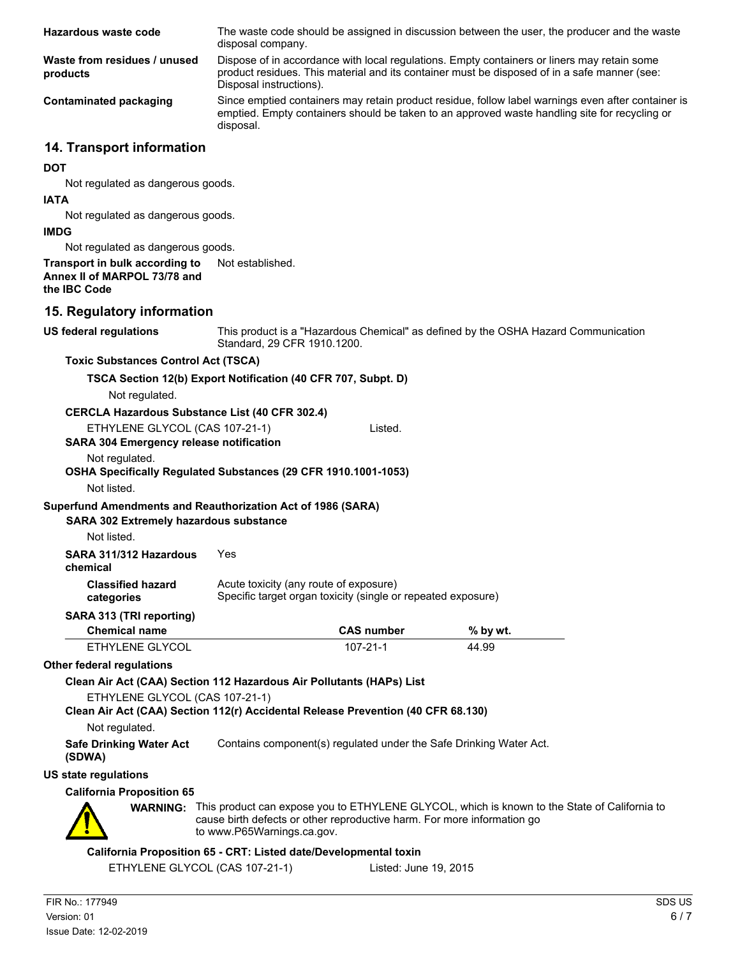| Hazardous waste code                                                                                               | disposal company.                                                                                                                                                                                                | The waste code should be assigned in discussion between the user, the producer and the waste |                                                                                                                                                                                             |  |
|--------------------------------------------------------------------------------------------------------------------|------------------------------------------------------------------------------------------------------------------------------------------------------------------------------------------------------------------|----------------------------------------------------------------------------------------------|---------------------------------------------------------------------------------------------------------------------------------------------------------------------------------------------|--|
| Waste from residues / unused<br>products                                                                           | Disposal instructions).                                                                                                                                                                                          |                                                                                              | Dispose of in accordance with local regulations. Empty containers or liners may retain some<br>product residues. This material and its container must be disposed of in a safe manner (see: |  |
| <b>Contaminated packaging</b>                                                                                      | Since emptied containers may retain product residue, follow label warnings even after container is<br>emptied. Empty containers should be taken to an approved waste handling site for recycling or<br>disposal. |                                                                                              |                                                                                                                                                                                             |  |
| 14. Transport information                                                                                          |                                                                                                                                                                                                                  |                                                                                              |                                                                                                                                                                                             |  |
| <b>DOT</b>                                                                                                         |                                                                                                                                                                                                                  |                                                                                              |                                                                                                                                                                                             |  |
| Not regulated as dangerous goods.                                                                                  |                                                                                                                                                                                                                  |                                                                                              |                                                                                                                                                                                             |  |
| <b>IATA</b>                                                                                                        |                                                                                                                                                                                                                  |                                                                                              |                                                                                                                                                                                             |  |
| Not regulated as dangerous goods.                                                                                  |                                                                                                                                                                                                                  |                                                                                              |                                                                                                                                                                                             |  |
| <b>IMDG</b>                                                                                                        |                                                                                                                                                                                                                  |                                                                                              |                                                                                                                                                                                             |  |
| Not regulated as dangerous goods.<br>Transport in bulk according to                                                | Not established.                                                                                                                                                                                                 |                                                                                              |                                                                                                                                                                                             |  |
| Annex II of MARPOL 73/78 and<br>the IBC Code                                                                       |                                                                                                                                                                                                                  |                                                                                              |                                                                                                                                                                                             |  |
| 15. Regulatory information                                                                                         |                                                                                                                                                                                                                  |                                                                                              |                                                                                                                                                                                             |  |
| <b>US federal regulations</b>                                                                                      | Standard, 29 CFR 1910.1200.                                                                                                                                                                                      |                                                                                              | This product is a "Hazardous Chemical" as defined by the OSHA Hazard Communication                                                                                                          |  |
| <b>Toxic Substances Control Act (TSCA)</b>                                                                         |                                                                                                                                                                                                                  |                                                                                              |                                                                                                                                                                                             |  |
| Not regulated.                                                                                                     | TSCA Section 12(b) Export Notification (40 CFR 707, Subpt. D)                                                                                                                                                    |                                                                                              |                                                                                                                                                                                             |  |
| <b>CERCLA Hazardous Substance List (40 CFR 302.4)</b>                                                              |                                                                                                                                                                                                                  |                                                                                              |                                                                                                                                                                                             |  |
| ETHYLENE GLYCOL (CAS 107-21-1)<br><b>SARA 304 Emergency release notification</b>                                   |                                                                                                                                                                                                                  | Listed.                                                                                      |                                                                                                                                                                                             |  |
| Not regulated.<br>OSHA Specifically Regulated Substances (29 CFR 1910.1001-1053)<br>Not listed.                    |                                                                                                                                                                                                                  |                                                                                              |                                                                                                                                                                                             |  |
| Superfund Amendments and Reauthorization Act of 1986 (SARA)                                                        |                                                                                                                                                                                                                  |                                                                                              |                                                                                                                                                                                             |  |
| <b>SARA 302 Extremely hazardous substance</b><br>Not listed.                                                       |                                                                                                                                                                                                                  |                                                                                              |                                                                                                                                                                                             |  |
| SARA 311/312 Hazardous                                                                                             | Yes                                                                                                                                                                                                              |                                                                                              |                                                                                                                                                                                             |  |
| chemical                                                                                                           |                                                                                                                                                                                                                  |                                                                                              |                                                                                                                                                                                             |  |
| <b>Classified hazard</b><br>categories                                                                             | Acute toxicity (any route of exposure)                                                                                                                                                                           | Specific target organ toxicity (single or repeated exposure)                                 |                                                                                                                                                                                             |  |
| SARA 313 (TRI reporting)                                                                                           |                                                                                                                                                                                                                  |                                                                                              |                                                                                                                                                                                             |  |
| <b>Chemical name</b>                                                                                               |                                                                                                                                                                                                                  | <b>CAS number</b>                                                                            | % by wt.                                                                                                                                                                                    |  |
| ETHYLENE GLYCOL                                                                                                    |                                                                                                                                                                                                                  | $107 - 21 - 1$                                                                               | 44.99                                                                                                                                                                                       |  |
| Other federal regulations                                                                                          |                                                                                                                                                                                                                  |                                                                                              |                                                                                                                                                                                             |  |
| Clean Air Act (CAA) Section 112 Hazardous Air Pollutants (HAPs) List                                               |                                                                                                                                                                                                                  |                                                                                              |                                                                                                                                                                                             |  |
| ETHYLENE GLYCOL (CAS 107-21-1)<br>Clean Air Act (CAA) Section 112(r) Accidental Release Prevention (40 CFR 68.130) |                                                                                                                                                                                                                  |                                                                                              |                                                                                                                                                                                             |  |
| Not regulated.                                                                                                     |                                                                                                                                                                                                                  |                                                                                              |                                                                                                                                                                                             |  |
| <b>Safe Drinking Water Act</b><br>(SDWA)                                                                           |                                                                                                                                                                                                                  |                                                                                              | Contains component(s) regulated under the Safe Drinking Water Act.                                                                                                                          |  |
| <b>US state regulations</b>                                                                                        |                                                                                                                                                                                                                  |                                                                                              |                                                                                                                                                                                             |  |
| <b>California Proposition 65</b>                                                                                   |                                                                                                                                                                                                                  |                                                                                              |                                                                                                                                                                                             |  |
|                                                                                                                    | cause birth defects or other reproductive harm. For more information go<br>to www.P65Warnings.ca.gov.                                                                                                            |                                                                                              | <b>WARNING:</b> This product can expose you to ETHYLENE GLYCOL, which is known to the State of California to                                                                                |  |
|                                                                                                                    |                                                                                                                                                                                                                  |                                                                                              |                                                                                                                                                                                             |  |
| ETHYLENE GLYCOL (CAS 107-21-1)                                                                                     | California Proposition 65 - CRT: Listed date/Developmental toxin                                                                                                                                                 | Listed: June 19, 2015                                                                        |                                                                                                                                                                                             |  |